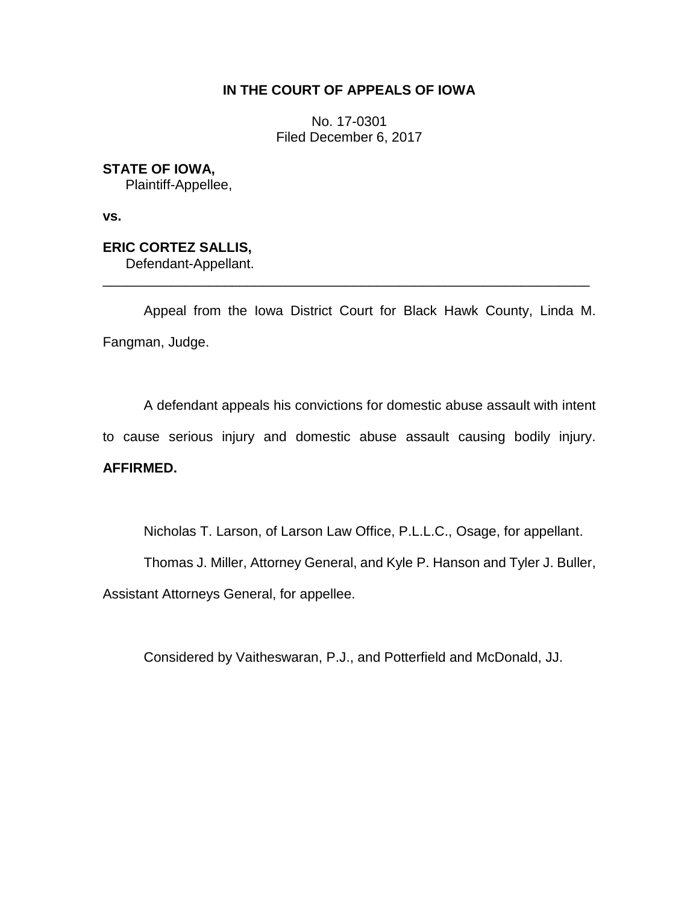## **IN THE COURT OF APPEALS OF IOWA**

No. 17-0301 Filed December 6, 2017

**STATE OF IOWA,** Plaintiff-Appellee,

**vs.** 

**ERIC CORTEZ SALLIS,** Defendant-Appellant.

Appeal from the Iowa District Court for Black Hawk County, Linda M. Fangman, Judge.

\_\_\_\_\_\_\_\_\_\_\_\_\_\_\_\_\_\_\_\_\_\_\_\_\_\_\_\_\_\_\_\_\_\_\_\_\_\_\_\_\_\_\_\_\_\_\_\_\_\_\_\_\_\_\_\_\_\_\_\_\_\_\_\_

A defendant appeals his convictions for domestic abuse assault with intent to cause serious injury and domestic abuse assault causing bodily injury.

## **AFFIRMED.**

Nicholas T. Larson, of Larson Law Office, P.L.L.C., Osage, for appellant.

Thomas J. Miller, Attorney General, and Kyle P. Hanson and Tyler J. Buller,

Assistant Attorneys General, for appellee.

Considered by Vaitheswaran, P.J., and Potterfield and McDonald, JJ.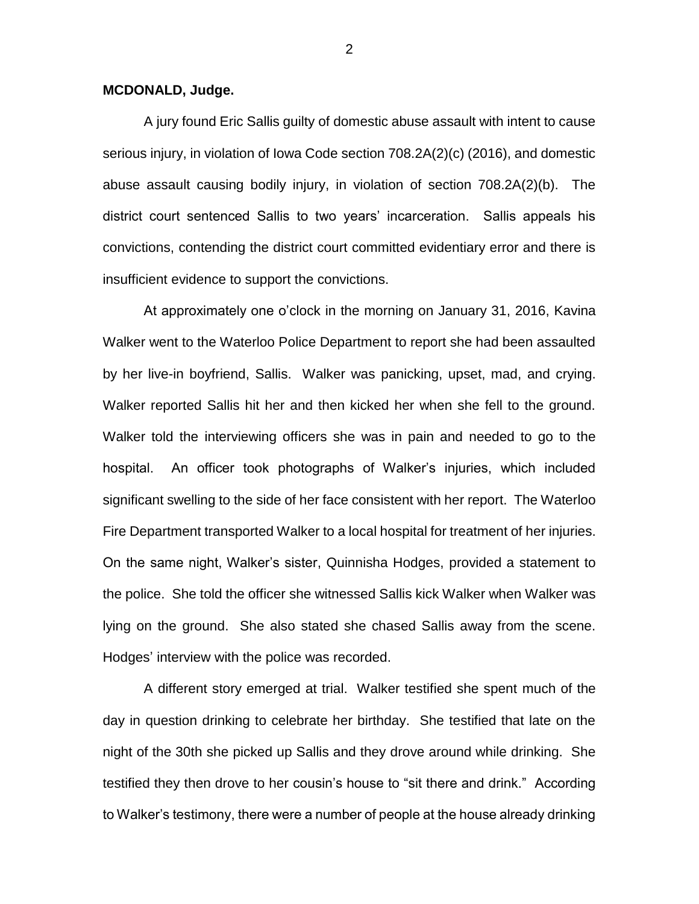## **MCDONALD, Judge.**

A jury found Eric Sallis guilty of domestic abuse assault with intent to cause serious injury, in violation of Iowa Code section 708.2A(2)(c) (2016), and domestic abuse assault causing bodily injury, in violation of section 708.2A(2)(b). The district court sentenced Sallis to two years' incarceration. Sallis appeals his convictions, contending the district court committed evidentiary error and there is insufficient evidence to support the convictions.

At approximately one o'clock in the morning on January 31, 2016, Kavina Walker went to the Waterloo Police Department to report she had been assaulted by her live-in boyfriend, Sallis. Walker was panicking, upset, mad, and crying. Walker reported Sallis hit her and then kicked her when she fell to the ground. Walker told the interviewing officers she was in pain and needed to go to the hospital. An officer took photographs of Walker's injuries, which included significant swelling to the side of her face consistent with her report. The Waterloo Fire Department transported Walker to a local hospital for treatment of her injuries. On the same night, Walker's sister, Quinnisha Hodges, provided a statement to the police. She told the officer she witnessed Sallis kick Walker when Walker was lying on the ground. She also stated she chased Sallis away from the scene. Hodges' interview with the police was recorded.

A different story emerged at trial. Walker testified she spent much of the day in question drinking to celebrate her birthday. She testified that late on the night of the 30th she picked up Sallis and they drove around while drinking. She testified they then drove to her cousin's house to "sit there and drink." According to Walker's testimony, there were a number of people at the house already drinking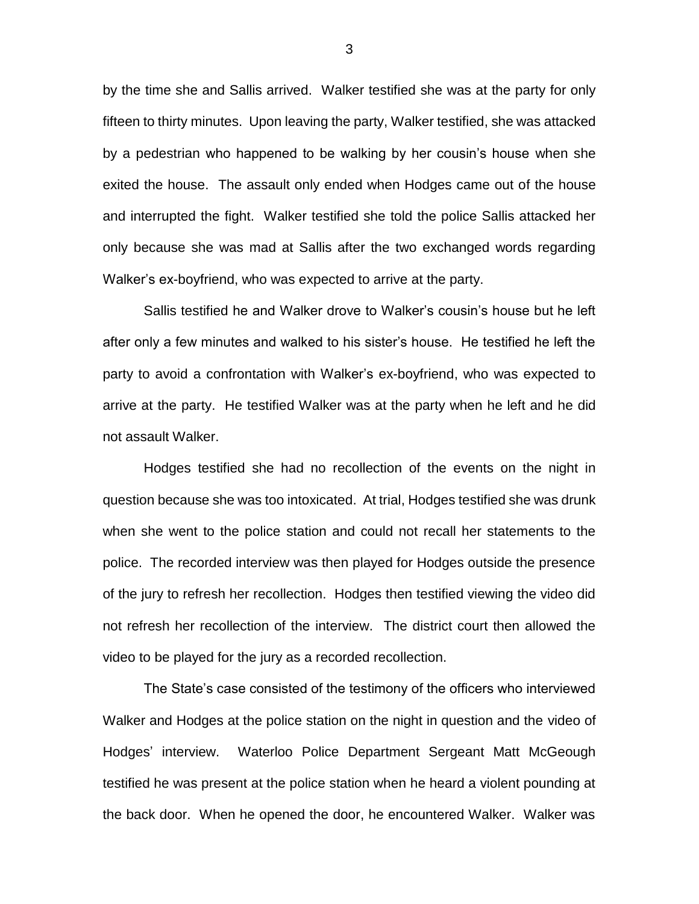by the time she and Sallis arrived. Walker testified she was at the party for only fifteen to thirty minutes. Upon leaving the party, Walker testified, she was attacked by a pedestrian who happened to be walking by her cousin's house when she exited the house. The assault only ended when Hodges came out of the house and interrupted the fight. Walker testified she told the police Sallis attacked her only because she was mad at Sallis after the two exchanged words regarding Walker's ex-boyfriend, who was expected to arrive at the party.

Sallis testified he and Walker drove to Walker's cousin's house but he left after only a few minutes and walked to his sister's house. He testified he left the party to avoid a confrontation with Walker's ex-boyfriend, who was expected to arrive at the party. He testified Walker was at the party when he left and he did not assault Walker.

Hodges testified she had no recollection of the events on the night in question because she was too intoxicated. At trial, Hodges testified she was drunk when she went to the police station and could not recall her statements to the police. The recorded interview was then played for Hodges outside the presence of the jury to refresh her recollection. Hodges then testified viewing the video did not refresh her recollection of the interview. The district court then allowed the video to be played for the jury as a recorded recollection.

The State's case consisted of the testimony of the officers who interviewed Walker and Hodges at the police station on the night in question and the video of Hodges' interview. Waterloo Police Department Sergeant Matt McGeough testified he was present at the police station when he heard a violent pounding at the back door. When he opened the door, he encountered Walker. Walker was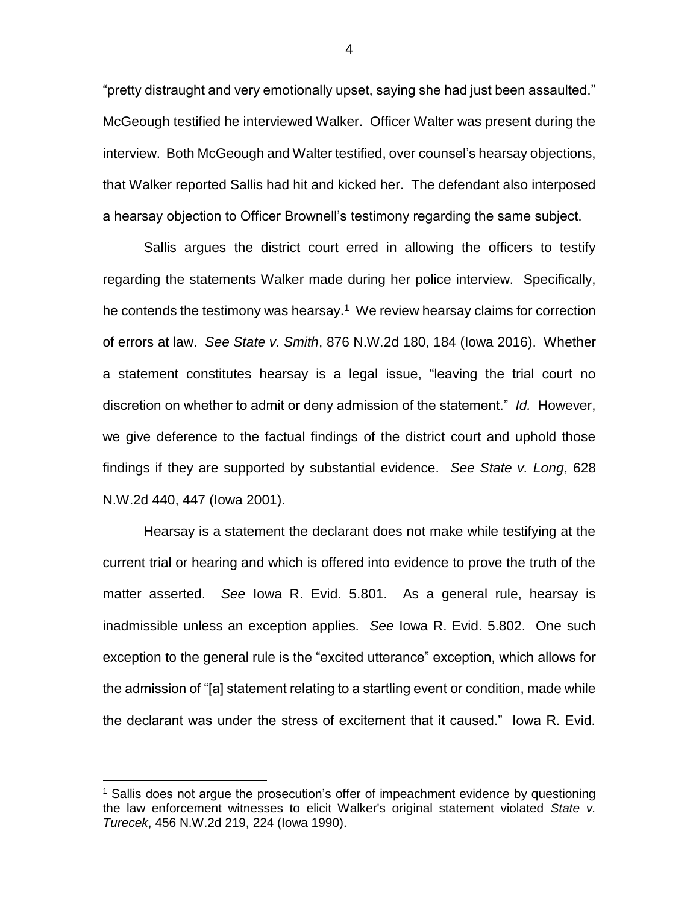"pretty distraught and very emotionally upset, saying she had just been assaulted." McGeough testified he interviewed Walker. Officer Walter was present during the interview. Both McGeough and Walter testified, over counsel's hearsay objections, that Walker reported Sallis had hit and kicked her. The defendant also interposed a hearsay objection to Officer Brownell's testimony regarding the same subject.

Sallis argues the district court erred in allowing the officers to testify regarding the statements Walker made during her police interview. Specifically, he contends the testimony was hearsay.<sup>1</sup> We review hearsay claims for correction of errors at law. *See State v. Smith*, 876 N.W.2d 180, 184 (Iowa 2016). Whether a statement constitutes hearsay is a legal issue, "leaving the trial court no discretion on whether to admit or deny admission of the statement." *Id.* However, we give deference to the factual findings of the district court and uphold those findings if they are supported by substantial evidence. *See State v. Long*, 628 N.W.2d 440, 447 (Iowa 2001).

Hearsay is a statement the declarant does not make while testifying at the current trial or hearing and which is offered into evidence to prove the truth of the matter asserted. *See* Iowa R. Evid. 5.801. As a general rule, hearsay is inadmissible unless an exception applies. *See* Iowa R. Evid. 5.802. One such exception to the general rule is the "excited utterance" exception, which allows for the admission of "[a] statement relating to a startling event or condition, made while the declarant was under the stress of excitement that it caused." Iowa R. Evid.

 $\overline{a}$ 

<sup>&</sup>lt;sup>1</sup> Sallis does not argue the prosecution's offer of impeachment evidence by questioning the law enforcement witnesses to elicit Walker's original statement violated *State v. Turecek*, 456 N.W.2d 219, 224 (Iowa 1990).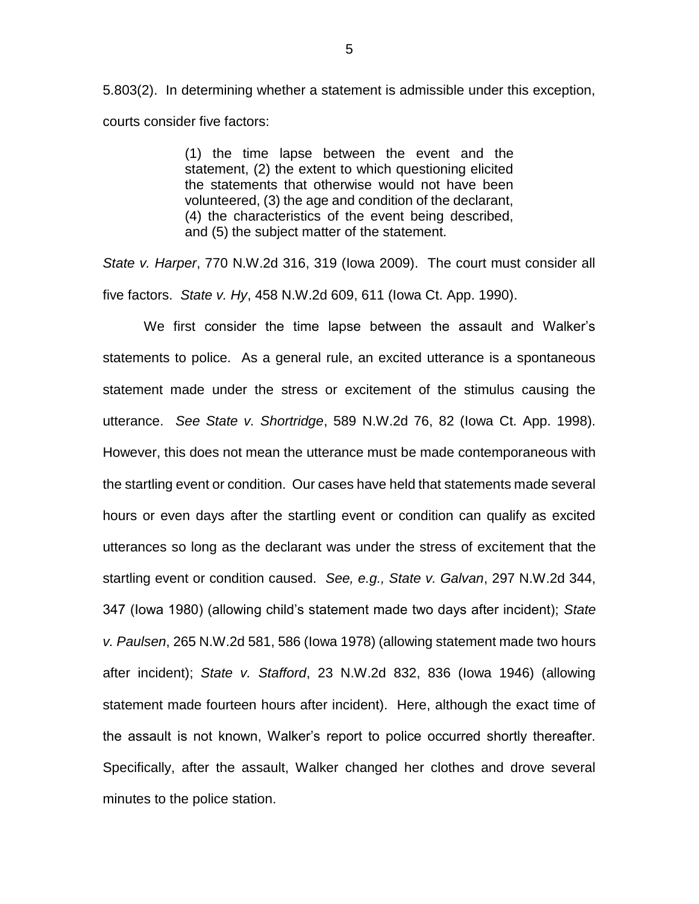5.803(2). In determining whether a statement is admissible under this exception, courts consider five factors:

> (1) the time lapse between the event and the statement, (2) the extent to which questioning elicited the statements that otherwise would not have been volunteered, (3) the age and condition of the declarant, (4) the characteristics of the event being described, and (5) the subject matter of the statement.

*State v. Harper*, 770 N.W.2d 316, 319 (Iowa 2009). The court must consider all five factors. *State v. Hy*, 458 N.W.2d 609, 611 (Iowa Ct. App. 1990).

We first consider the time lapse between the assault and Walker's statements to police. As a general rule, an excited utterance is a spontaneous statement made under the stress or excitement of the stimulus causing the utterance. *See State v. Shortridge*, 589 N.W.2d 76, 82 (Iowa Ct. App. 1998). However, this does not mean the utterance must be made contemporaneous with the startling event or condition. Our cases have held that statements made several hours or even days after the startling event or condition can qualify as excited utterances so long as the declarant was under the stress of excitement that the startling event or condition caused. *See, e.g., State v. Galvan*, 297 N.W.2d 344, 347 (Iowa 1980) (allowing child's statement made two days after incident); *State v. Paulsen*, 265 N.W.2d 581, 586 (Iowa 1978) (allowing statement made two hours after incident); *State v. Stafford*, 23 N.W.2d 832, 836 (Iowa 1946) (allowing statement made fourteen hours after incident). Here, although the exact time of the assault is not known, Walker's report to police occurred shortly thereafter. Specifically, after the assault, Walker changed her clothes and drove several minutes to the police station.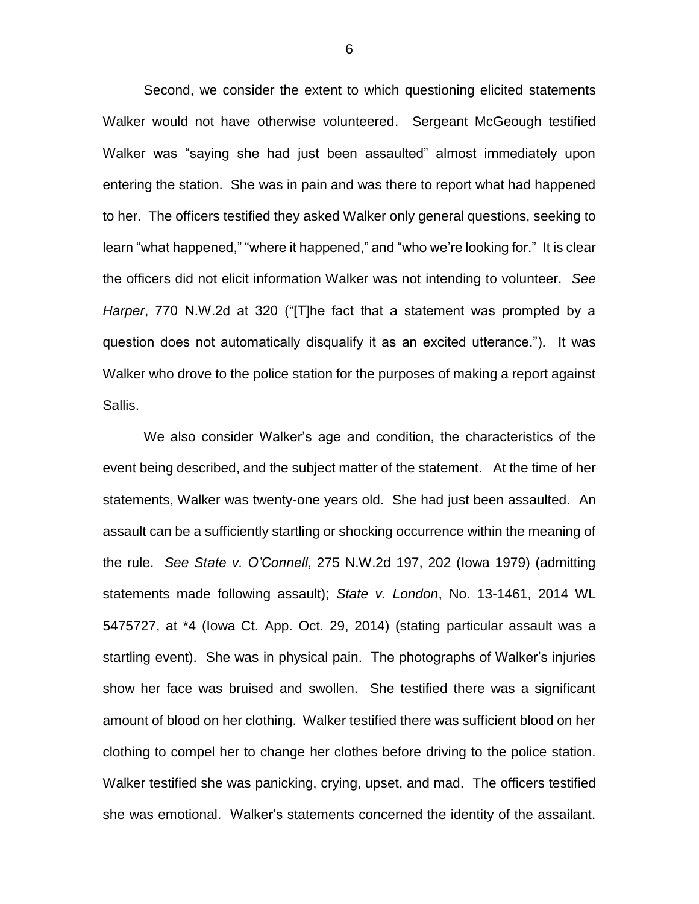Second, we consider the extent to which questioning elicited statements Walker would not have otherwise volunteered. Sergeant McGeough testified Walker was "saying she had just been assaulted" almost immediately upon entering the station. She was in pain and was there to report what had happened to her. The officers testified they asked Walker only general questions, seeking to learn "what happened," "where it happened," and "who we're looking for." It is clear the officers did not elicit information Walker was not intending to volunteer. *See Harper*, 770 N.W.2d at 320 ("[T]he fact that a statement was prompted by a question does not automatically disqualify it as an excited utterance."). It was Walker who drove to the police station for the purposes of making a report against Sallis.

We also consider Walker's age and condition, the characteristics of the event being described, and the subject matter of the statement. At the time of her statements, Walker was twenty-one years old. She had just been assaulted. An assault can be a sufficiently startling or shocking occurrence within the meaning of the rule. *See State v. O'Connell*, 275 N.W.2d 197, 202 (Iowa 1979) (admitting statements made following assault); *State v. London*, No. 13-1461, 2014 WL 5475727, at \*4 (Iowa Ct. App. Oct. 29, 2014) (stating particular assault was a startling event).She was in physical pain. The photographs of Walker's injuries show her face was bruised and swollen. She testified there was a significant amount of blood on her clothing. Walker testified there was sufficient blood on her clothing to compel her to change her clothes before driving to the police station. Walker testified she was panicking, crying, upset, and mad. The officers testified she was emotional. Walker's statements concerned the identity of the assailant.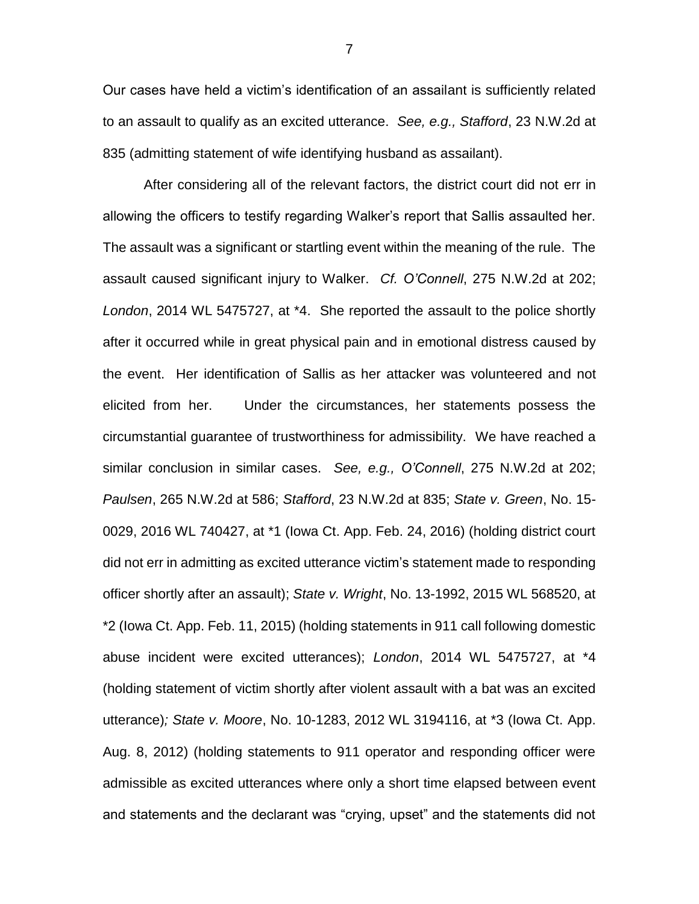Our cases have held a victim's identification of an assailant is sufficiently related to an assault to qualify as an excited utterance. *See, e.g., Stafford*, 23 N.W.2d at 835 (admitting statement of wife identifying husband as assailant).

After considering all of the relevant factors, the district court did not err in allowing the officers to testify regarding Walker's report that Sallis assaulted her. The assault was a significant or startling event within the meaning of the rule. The assault caused significant injury to Walker. *Cf. O'Connell*, 275 N.W.2d at 202; *London*, 2014 WL 5475727, at \*4. She reported the assault to the police shortly after it occurred while in great physical pain and in emotional distress caused by the event. Her identification of Sallis as her attacker was volunteered and not elicited from her. Under the circumstances, her statements possess the circumstantial guarantee of trustworthiness for admissibility. We have reached a similar conclusion in similar cases. *See, e.g., O'Connell*, 275 N.W.2d at 202; *Paulsen*, 265 N.W.2d at 586; *Stafford*, 23 N.W.2d at 835; *State v. Green*, No. 15- 0029, 2016 WL 740427, at \*1 (Iowa Ct. App. Feb. 24, 2016) (holding district court did not err in admitting as excited utterance victim's statement made to responding officer shortly after an assault); *State v. Wright*, No. 13-1992, 2015 WL 568520, at \*2 (Iowa Ct. App. Feb. 11, 2015) (holding statements in 911 call following domestic abuse incident were excited utterances); *London*, 2014 WL 5475727, at \*4 (holding statement of victim shortly after violent assault with a bat was an excited utterance)*; State v. Moore*, No. 10-1283, 2012 WL 3194116, at \*3 (Iowa Ct. App. Aug. 8, 2012) (holding statements to 911 operator and responding officer were admissible as excited utterances where only a short time elapsed between event and statements and the declarant was "crying, upset" and the statements did not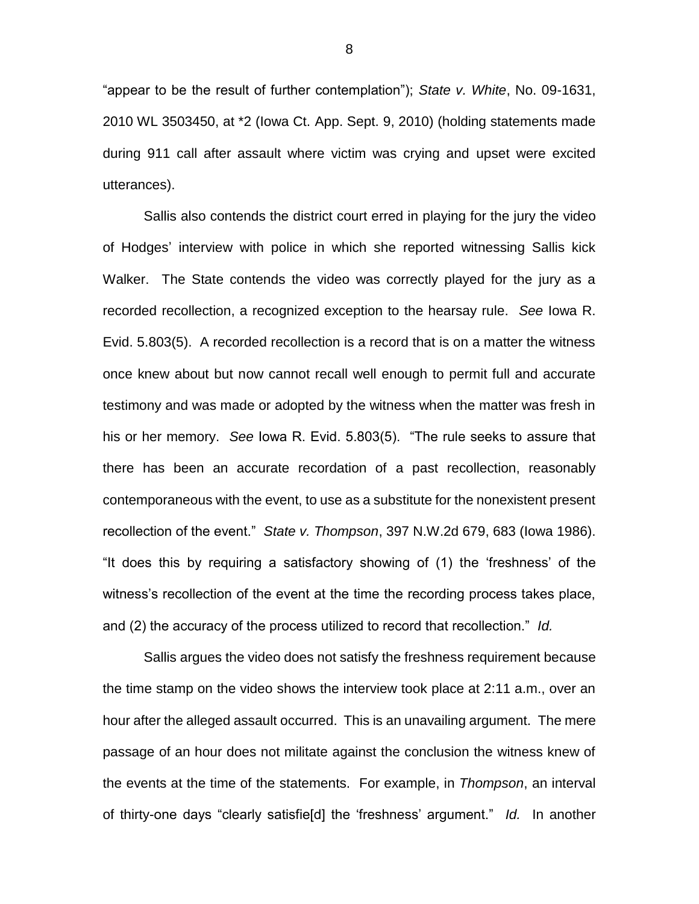"appear to be the result of further contemplation"); *State v. White*, No. 09-1631, 2010 WL 3503450, at \*2 (Iowa Ct. App. Sept. 9, 2010) (holding statements made during 911 call after assault where victim was crying and upset were excited utterances).

Sallis also contends the district court erred in playing for the jury the video of Hodges' interview with police in which she reported witnessing Sallis kick Walker. The State contends the video was correctly played for the jury as a recorded recollection, a recognized exception to the hearsay rule. *See* Iowa R. Evid. 5.803(5). A recorded recollection is a record that is on a matter the witness once knew about but now cannot recall well enough to permit full and accurate testimony and was made or adopted by the witness when the matter was fresh in his or her memory. *See* Iowa R. Evid. 5.803(5). "The rule seeks to assure that there has been an accurate recordation of a past recollection, reasonably contemporaneous with the event, to use as a substitute for the nonexistent present recollection of the event." *State v. Thompson*, 397 N.W.2d 679, 683 (Iowa 1986). "It does this by requiring a satisfactory showing of (1) the 'freshness' of the witness's recollection of the event at the time the recording process takes place, and (2) the accuracy of the process utilized to record that recollection." *Id.*

Sallis argues the video does not satisfy the freshness requirement because the time stamp on the video shows the interview took place at 2:11 a.m., over an hour after the alleged assault occurred. This is an unavailing argument. The mere passage of an hour does not militate against the conclusion the witness knew of the events at the time of the statements. For example, in *Thompson*, an interval of thirty-one days "clearly satisfie[d] the 'freshness' argument." *Id.* In another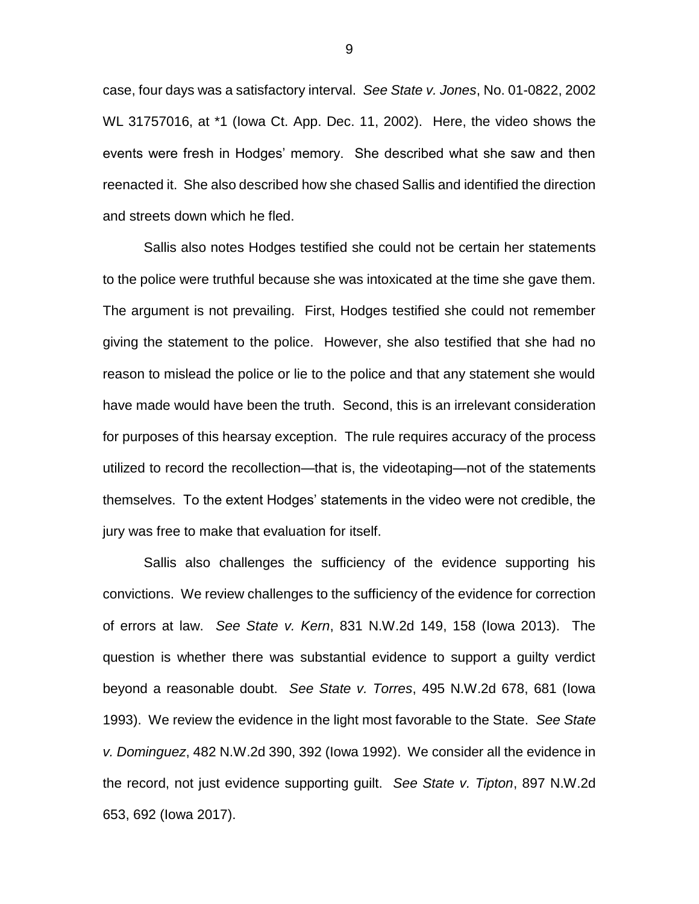case, four days was a satisfactory interval. *See State v. Jones*, No. 01-0822, 2002 WL 31757016, at \*1 (Iowa Ct. App. Dec. 11, 2002). Here, the video shows the events were fresh in Hodges' memory. She described what she saw and then reenacted it. She also described how she chased Sallis and identified the direction and streets down which he fled.

Sallis also notes Hodges testified she could not be certain her statements to the police were truthful because she was intoxicated at the time she gave them. The argument is not prevailing. First, Hodges testified she could not remember giving the statement to the police. However, she also testified that she had no reason to mislead the police or lie to the police and that any statement she would have made would have been the truth. Second, this is an irrelevant consideration for purposes of this hearsay exception. The rule requires accuracy of the process utilized to record the recollection—that is, the videotaping—not of the statements themselves. To the extent Hodges' statements in the video were not credible, the jury was free to make that evaluation for itself.

Sallis also challenges the sufficiency of the evidence supporting his convictions. We review challenges to the sufficiency of the evidence for correction of errors at law. *See State v. Kern*, 831 N.W.2d 149, 158 (Iowa 2013). The question is whether there was substantial evidence to support a guilty verdict beyond a reasonable doubt. *See State v. Torres*, 495 N.W.2d 678, 681 (Iowa 1993). We review the evidence in the light most favorable to the State. *See State v. Dominguez*, 482 N.W.2d 390, 392 (Iowa 1992). We consider all the evidence in the record, not just evidence supporting guilt. *See State v. Tipton*, 897 N.W.2d 653, 692 (Iowa 2017).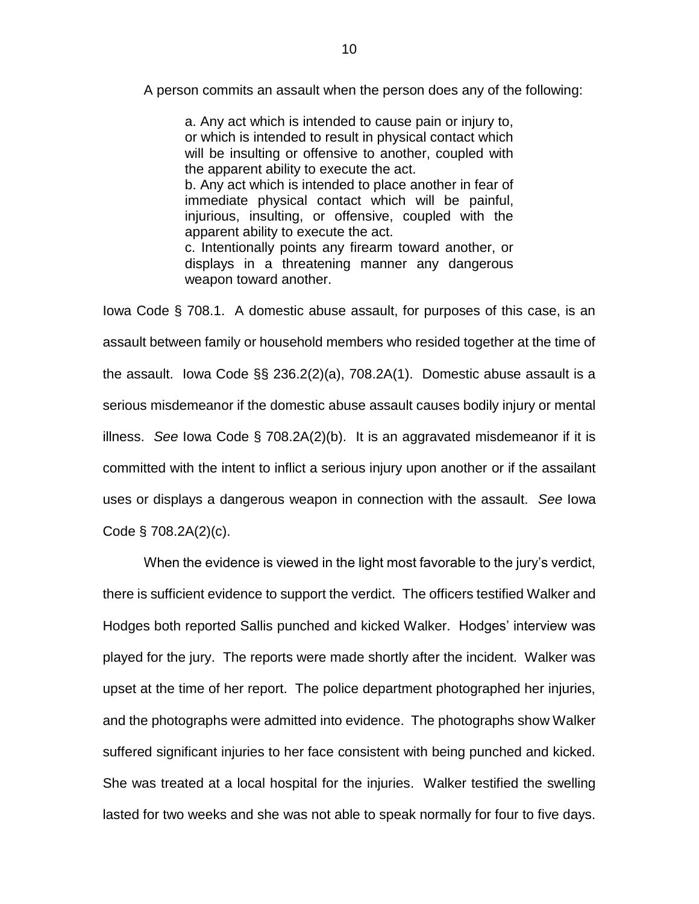A person commits an assault when the person does any of the following:

a. Any act which is intended to cause pain or injury to, or which is intended to result in physical contact which will be insulting or offensive to another, coupled with the apparent ability to execute the act. b. Any act which is intended to place another in fear of immediate physical contact which will be painful, injurious, insulting, or offensive, coupled with the apparent ability to execute the act. c. Intentionally points any firearm toward another, or displays in a threatening manner any dangerous weapon toward another.

Iowa Code § 708.1. A domestic abuse assault, for purposes of this case, is an assault between family or household members who resided together at the time of the assault. Iowa Code §§ 236.2(2)(a), 708.2A(1). Domestic abuse assault is a serious misdemeanor if the domestic abuse assault causes bodily injury or mental illness. *See* Iowa Code § 708.2A(2)(b). It is an aggravated misdemeanor if it is committed with the intent to inflict a serious injury upon another or if the assailant uses or displays a dangerous weapon in connection with the assault. *See* Iowa Code § 708.2A(2)(c).

When the evidence is viewed in the light most favorable to the jury's verdict, there is sufficient evidence to support the verdict. The officers testified Walker and Hodges both reported Sallis punched and kicked Walker. Hodges' interview was played for the jury. The reports were made shortly after the incident. Walker was upset at the time of her report. The police department photographed her injuries, and the photographs were admitted into evidence. The photographs show Walker suffered significant injuries to her face consistent with being punched and kicked. She was treated at a local hospital for the injuries. Walker testified the swelling lasted for two weeks and she was not able to speak normally for four to five days.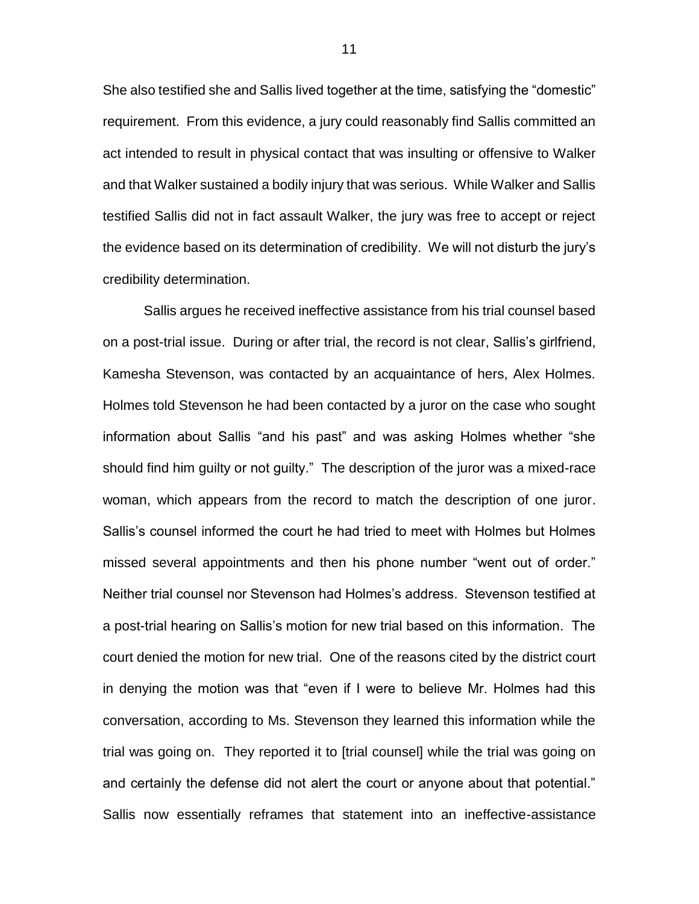She also testified she and Sallis lived together at the time, satisfying the "domestic" requirement. From this evidence, a jury could reasonably find Sallis committed an act intended to result in physical contact that was insulting or offensive to Walker and that Walker sustained a bodily injury that was serious. While Walker and Sallis testified Sallis did not in fact assault Walker, the jury was free to accept or reject the evidence based on its determination of credibility. We will not disturb the jury's credibility determination.

Sallis argues he received ineffective assistance from his trial counsel based on a post-trial issue. During or after trial, the record is not clear, Sallis's girlfriend, Kamesha Stevenson, was contacted by an acquaintance of hers, Alex Holmes. Holmes told Stevenson he had been contacted by a juror on the case who sought information about Sallis "and his past" and was asking Holmes whether "she should find him guilty or not guilty." The description of the juror was a mixed-race woman, which appears from the record to match the description of one juror. Sallis's counsel informed the court he had tried to meet with Holmes but Holmes missed several appointments and then his phone number "went out of order." Neither trial counsel nor Stevenson had Holmes's address. Stevenson testified at a post-trial hearing on Sallis's motion for new trial based on this information. The court denied the motion for new trial. One of the reasons cited by the district court in denying the motion was that "even if I were to believe Mr. Holmes had this conversation, according to Ms. Stevenson they learned this information while the trial was going on. They reported it to [trial counsel] while the trial was going on and certainly the defense did not alert the court or anyone about that potential." Sallis now essentially reframes that statement into an ineffective-assistance